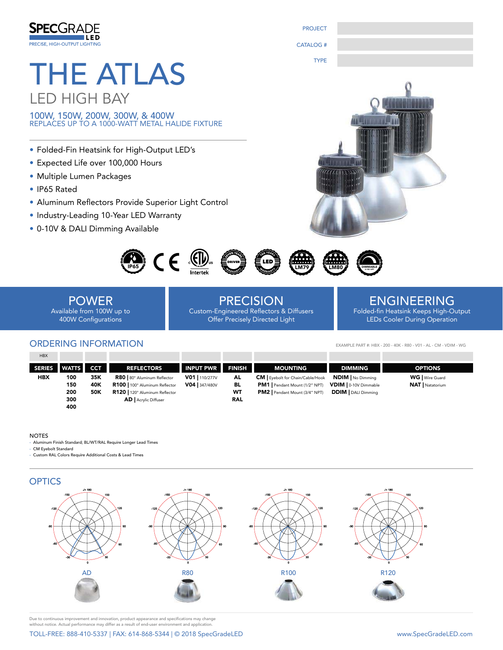

PROJECT CATALOG #

TYPE

# THE ATLAS LED HIGH BAY

100W, 150W, 200W, 300W, & 400W REPLACES UP TO A 1000-WATT METAL HALIDE FIXTURE

- Folded-Fin Heatsink for High-Output LED's
- Expected Life over 100,000 Hours
- Multiple Lumen Packages
- IP65 Rated
- Aluminum Reflectors Provide Superior Light Control
- Industry-Leading 10-Year LED Warranty
- 0-10V & DALI Dimming Available





POWER Available from 100W up to 400W Configurations

# PRECISION

Custom-Engineered Reflectors & Diffusers Offer Precisely Directed Light

## ENGINEERING

Folded-fin Heatsink Keeps High-Output LEDs Cooler During Operation

EXAMPLE PART #: HBX - 200 - 40K - R80 - V01 - AL - CM - VDIM - WG

## ORDERING INFORMATION

| <b>HBX</b>    |              |            |                                |                  |               |                                        |                            |                        |
|---------------|--------------|------------|--------------------------------|------------------|---------------|----------------------------------------|----------------------------|------------------------|
| <b>SERIES</b> | <b>WATTS</b> | <b>CCT</b> | <b>REFLECTORS</b>              | <b>INPUT PWR</b> | <b>FINISH</b> | <b>MOUNTING</b>                        | <b>DIMMING</b>             | <b>OPTIONS</b>         |
| HBX           | 100          | 35K        | R80   80° Aluminum Reflector   | V01   110/277V   | AL            | <b>CM</b> Eyebolt for Chain/Cable/Hook | <b>NDIM</b> No Dimming     | <b>WG</b>   Wire Guard |
|               | 150          | 40K        | R100   100° Aluminum Reflector | V04 347/480V     | BL            | PM1   Pendant Mount (1/2" NPT)         | VDIM   0-10V Dimmable      | <b>NAT</b> Natatorium  |
|               | 200          | 50K        | R120   120° Aluminum Reflector |                  | WΤ            | PM2   Pendant Mount (3/4" NPT)         | <b>DDIM</b>   DALI Dimming |                        |
|               | 300          |            | <b>AD</b>   Acrylic Diffuser   |                  | <b>RAL</b>    |                                        |                            |                        |
|               | 400          |            |                                |                  |               |                                        |                            |                        |

#### NOTES

- Aluminum Finish Standard; BL/WT/RAL Require Longer Lead Times

- CM Eyebolt Standard

- Custom RAL Colors Require Additional Costs & Lead Times



Due to continuous improvement and innovation, product appearance and specifications may change without notice. Actual performance may differ as a result of end-user environment and application.

TOLL-FREE: 888-410-5337 | FAX: 614-868-5344 | © 2018 SpecGradeLED www.SpecGradeLED.com